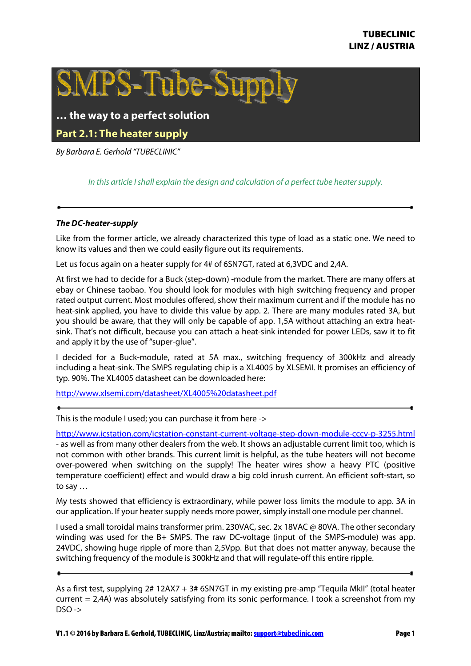

## **… the way to a perfect solution**

**Part 2.1: The heater supply** 

By Barbara E. Gerhold "TUBECLINIC"

In this article I shall explain the design and calculation of a perfect tube heater supply.

## **The DC-heater-supply**

Like from the former article, we already characterized this type of load as a static one. We need to know its values and then we could easily figure out its requirements.

Let us focus again on a heater supply for 4# of 6SN7GT, rated at 6,3VDC and 2,4A.

At first we had to decide for a Buck (step-down) -module from the market. There are many offers at ebay or Chinese taobao. You should look for modules with high switching frequency and proper rated output current. Most modules offered, show their maximum current and if the module has no heat-sink applied, you have to divide this value by app. 2. There are many modules rated 3A, but you should be aware, that they will only be capable of app. 1,5A without attaching an extra heatsink. That's not difficult, because you can attach a heat-sink intended for power LEDs, saw it to fit and apply it by the use of "super-glue".

I decided for a Buck-module, rated at 5A max., switching frequency of 300kHz and already including a heat-sink. The SMPS regulating chip is a XL4005 by XLSEMI. It promises an efficiency of typ. 90%. The XL4005 datasheet can be downloaded here:

http://www.xlsemi.com/datasheet/XL4005%20datasheet.pdf

This is the module I used; you can purchase it from here ->

http://www.icstation.com/icstation-constant-current-voltage-step-down-module-cccv-p-3255.html - as well as from many other dealers from the web. It shows an adjustable current limit too, which is not common with other brands. This current limit is helpful, as the tube heaters will not become over-powered when switching on the supply! The heater wires show a heavy PTC (positive temperature coefficient) effect and would draw a big cold inrush current. An efficient soft-start, so to say …

My tests showed that efficiency is extraordinary, while power loss limits the module to app. 3A in our application. If your heater supply needs more power, simply install one module per channel.

I used a small toroidal mains transformer prim. 230VAC, sec. 2x 18VAC @ 80VA. The other secondary winding was used for the B+ SMPS. The raw DC-voltage (input of the SMPS-module) was app. 24VDC, showing huge ripple of more than 2,5Vpp. But that does not matter anyway, because the switching frequency of the module is 300kHz and that will regulate-off this entire ripple.

As a first test, supplying 2# 12AX7 + 3# 6SN7GT in my existing pre-amp "Tequila MkII" (total heater current = 2,4A) was absolutely satisfying from its sonic performance. I took a screenshot from my  $DSO \rightarrow$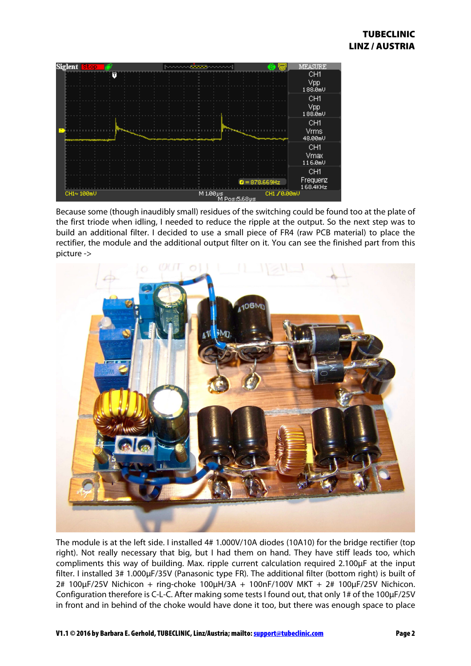

Because some (though inaudibly small) residues of the switching could be found too at the plate of the first triode when idling, I needed to reduce the ripple at the output. So the next step was to build an additional filter. I decided to use a small piece of FR4 (raw PCB material) to place the rectifier, the module and the additional output filter on it. You can see the finished part from this picture ->



The module is at the left side. I installed 4# 1.000V/10A diodes (10A10) for the bridge rectifier (top right). Not really necessary that big, but I had them on hand. They have stiff leads too, which compliments this way of building. Max. ripple current calculation required 2.100µF at the input filter. I installed 3# 1.000µF/35V (Panasonic type FR). The additional filter (bottom right) is built of 2# 100µF/25V Nichicon + ring-choke 100µH/3A + 100nF/100V MKT + 2# 100µF/25V Nichicon. Configuration therefore is C-L-C. After making some tests I found out, that only 1# of the 100µF/25V in front and in behind of the choke would have done it too, but there was enough space to place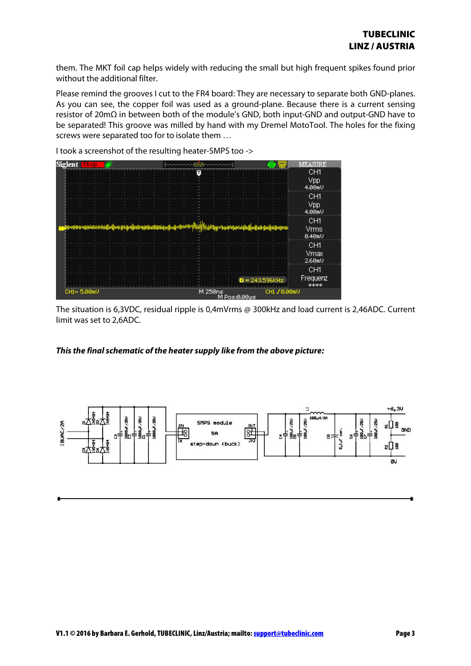them. The MKT foil cap helps widely with reducing the small but high frequent spikes found prior without the additional filter.

Please remind the grooves I cut to the FR4 board: They are necessary to separate both GND-planes. As you can see, the copper foil was used as a ground-plane. Because there is a current sensing resistor of 20mΩ in between both of the module's GND, both input-GND and output-GND have to be separated! This groove was milled by hand with my Dremel MotoTool. The holes for the fixing screws were separated too for to isolate them …



I took a screenshot of the resulting heater-SMPS too ->

The situation is 6,3VDC, residual ripple is 0,4mVrms @ 300kHz and load current is 2,46ADC. Current limit was set to 2,6ADC.

## **This the final schematic of the heater supply like from the above picture:**

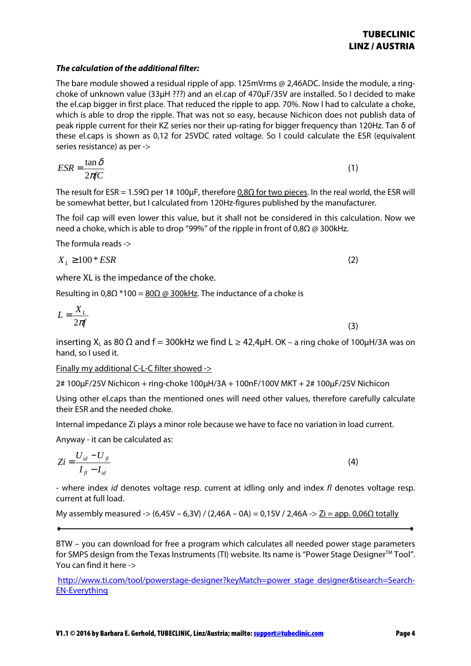## **The calculation of the additional filter:**

The bare module showed a residual ripple of app. 125mVrms @ 2,46ADC. Inside the module, a ringchoke of unknown value (33µH ???) and an el.cap of 470µF/35V are installed. So I decided to make the el.cap bigger in first place. That reduced the ripple to app. 70%. Now I had to calculate a choke, which is able to drop the ripple. That was not so easy, because Nichicon does not publish data of peak ripple current for their KZ series nor their up-rating for bigger frequency than 120Hz. Tan δ of these el.caps is shown as 0,12 for 25VDC rated voltage. So I could calculate the ESR (equivalent series resistance) as per ->

$$
ESR = \frac{\tan \delta}{2\pi fC} \tag{1}
$$

The result for ESR = 1.59 $\Omega$  per 1# 100µF, therefore 0,8 $\Omega$  for two pieces. In the real world, the ESR will be somewhat better, but I calculated from 120Hz-figures published by the manufacturer.

The foil cap will even lower this value, but it shall not be considered in this calculation. Now we need a choke, which is able to drop "99%" of the ripple in front of 0,8Ω @ 300kHz.

The formula reads ->

$$
X_L \ge 100 \cdot ESR \tag{2}
$$

where XL is the impedance of the choke.

Resulting in 0,8 $\Omega$  \*100 =  $\underline{80\Omega}$  @ 300kHz. The inductance of a choke is

$$
L = \frac{X_L}{2\pi f} \tag{3}
$$

inserting X<sub>L</sub> as 80  $\Omega$  and f = 300kHz we find L  $\geq$  42.4uH. OK – a ring choke of 100uH/3A was on hand, so I used it.

Finally my additional C-L-C filter showed ->

2# 100µF/25V Nichicon + ring-choke 100µH/3A + 100nF/100V MKT + 2# 100µF/25V Nichicon

Using other el.caps than the mentioned ones will need other values, therefore carefully calculate their ESR and the needed choke.

Internal impedance Zi plays a minor role because we have to face no variation in load current.

Anyway - it can be calculated as:

$$
Zi = \frac{U_{id} - U_{fl}}{I_{fl} - I_{id}}
$$
\n
$$
\tag{4}
$$

- where index id denotes voltage resp. current at idling only and index fl denotes voltage resp. current at full load.

My assembly measured -> (6,45V – 6,3V) / (2,46A – 0A) = 0,15V / 2,46A ->  $Zi =$  app. 0,06Ω totally

BTW – you can download for free a program which calculates all needed power stage parameters for SMPS design from the Texas Instruments (TI) website. Its name is "Power Stage Designer $^{TM}$  Tool". You can find it here ->

http://www.ti.com/tool/powerstage-designer?keyMatch=power stage designer&tisearch=Search-EN-Everything